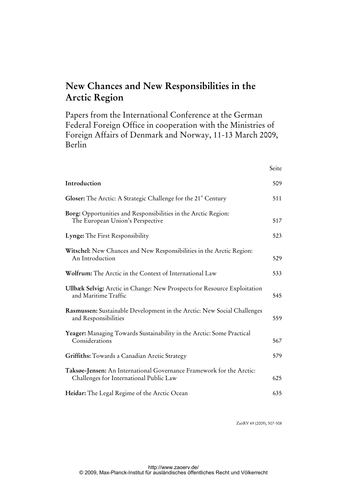## **New Chances and New Responsibilities in the Arctic Region**

Papers from the International Conference at the German Federal Foreign Office in cooperation with the Ministries of Foreign Affairs of Denmark and Norway, 11-13 March 2009, Berlin

|                                                                                                                 | Seite |
|-----------------------------------------------------------------------------------------------------------------|-------|
| Introduction                                                                                                    | 509   |
| Gloser: The Arctic: A Strategic Challenge for the 21 <sup>st</sup> Century                                      | 511   |
| Borg: Opportunities and Responsibilities in the Arctic Region:<br>The European Union's Perspective              | 517   |
| Lynge: The First Responsibility                                                                                 | 523   |
| Witschel: New Chances and New Responsibilities in the Arctic Region:<br>An Introduction                         | 529   |
| Wolfrum: The Arctic in the Context of International Law                                                         | 533   |
| Ullbæk Selvig: Arctic in Change: New Prospects for Resource Exploitation<br>and Maritime Traffic                | 545   |
| Rasmussen: Sustainable Development in the Arctic: New Social Challenges<br>and Responsibilities                 | 559   |
| Yeager: Managing Towards Sustainability in the Arctic: Some Practical<br>Considerations                         | 567   |
| Griffiths: Towards a Canadian Arctic Strategy                                                                   | 579   |
| Taksøe-Jensen: An International Governance Framework for the Arctic:<br>Challenges for International Public Law | 625   |
| Heidar: The Legal Regime of the Arctic Ocean                                                                    | 635   |

ZaöRV 69 (2009), 507-508